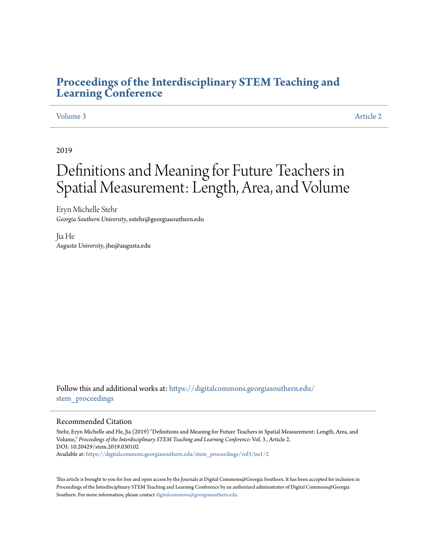### **[Proceedings of the Interdisciplinary STEM Teaching and](https://digitalcommons.georgiasouthern.edu/stem_proceedings?utm_source=digitalcommons.georgiasouthern.edu%2Fstem_proceedings%2Fvol3%2Fiss1%2F2&utm_medium=PDF&utm_campaign=PDFCoverPages) [Learning Conference](https://digitalcommons.georgiasouthern.edu/stem_proceedings?utm_source=digitalcommons.georgiasouthern.edu%2Fstem_proceedings%2Fvol3%2Fiss1%2F2&utm_medium=PDF&utm_campaign=PDFCoverPages)**

#### [Volume 3](https://digitalcommons.georgiasouthern.edu/stem_proceedings/vol3?utm_source=digitalcommons.georgiasouthern.edu%2Fstem_proceedings%2Fvol3%2Fiss1%2F2&utm_medium=PDF&utm_campaign=PDFCoverPages) [Article 2](https://digitalcommons.georgiasouthern.edu/stem_proceedings/vol3/iss1/2?utm_source=digitalcommons.georgiasouthern.edu%2Fstem_proceedings%2Fvol3%2Fiss1%2F2&utm_medium=PDF&utm_campaign=PDFCoverPages)

#### 2019

# Definitions and Meaning for Future Teachers in Spatial Measurement: Length, Area, and Volume

Eryn Michelle Stehr *Georgia Southern University*, estehr@georgiasouthern.edu

Jia He *Augusta University*, jhe@augusta.edu

Follow this and additional works at: [https://digitalcommons.georgiasouthern.edu/](https://digitalcommons.georgiasouthern.edu/stem_proceedings?utm_source=digitalcommons.georgiasouthern.edu%2Fstem_proceedings%2Fvol3%2Fiss1%2F2&utm_medium=PDF&utm_campaign=PDFCoverPages) stem proceedings

#### Recommended Citation

Stehr, Eryn Michelle and He, Jia (2019) "Definitions and Meaning for Future Teachers in Spatial Measurement: Length, Area, and Volume," *Proceedings of the Interdisciplinary STEM Teaching and Learning Conference*: Vol. 3 , Article 2. DOI: 10.20429/stem.2019.030102 Available at: [https://digitalcommons.georgiasouthern.edu/stem\\_proceedings/vol3/iss1/2](https://digitalcommons.georgiasouthern.edu/stem_proceedings/vol3/iss1/2?utm_source=digitalcommons.georgiasouthern.edu%2Fstem_proceedings%2Fvol3%2Fiss1%2F2&utm_medium=PDF&utm_campaign=PDFCoverPages)

This article is brought to you for free and open access by the Journals at Digital Commons@Georgia Southern. It has been accepted for inclusion in Proceedings of the Interdisciplinary STEM Teaching and Learning Conference by an authorized administrator of Digital Commons@Georgia Southern. For more information, please contact [digitalcommons@georgiasouthern.edu.](mailto:digitalcommons@georgiasouthern.edu)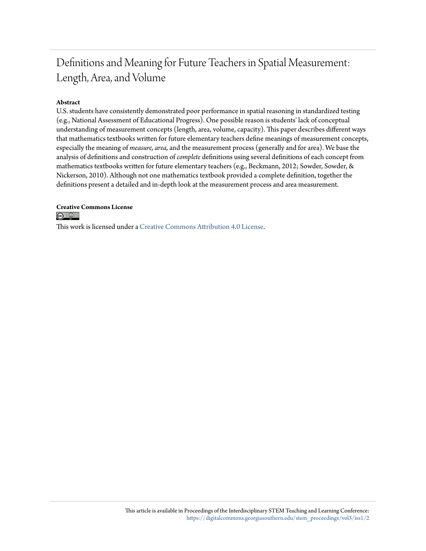## Definitions and Meaning for Future Teachers in Spatial Measurement: Length, Area, and Volume

#### **Abstract**

U.S. students have consistently demonstrated poor performance in spatial reasoning in standardized testing (e.g., National Assessment of Educational Progress). One possible reason is students' lack of conceptual understanding of measurement concepts (length, area, volume, capacity). This paper describes different ways that mathematics textbooks written for future elementary teachers define meanings of measurement concepts, especially the meaning of *measure, area,* and the measurement process (generally and for area). We base the analysis of definitions and construction of *complete* definitions using several definitions of each concept from mathematics textbooks written for future elementary teachers (e.g., Beckmann, 2012; Sowder, Sowder, & Nickerson, 2010). Although not one mathematics textbook provided a complete definition, together the definitions present a detailed and in-depth look at the measurement process and area measurement.

**Creative Commons License**  $\circ$   $\circ$ 

This work is licensed under a [Creative Commons Attribution 4.0 License.](http://creativecommons.org/licenses/by/4.0/)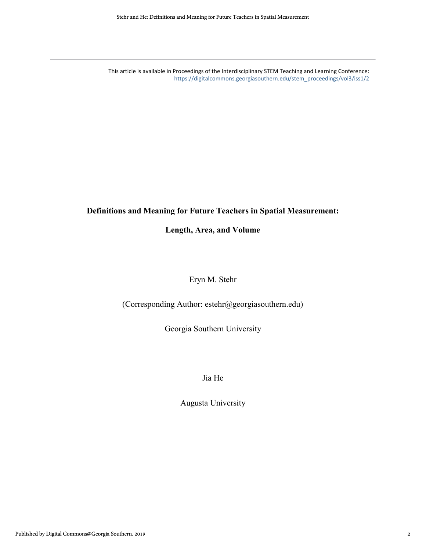This article is available in Proceedings of the Interdisciplinary STEM Teaching and Learning Conference: [https://digitalcommons.georgiasouthern.edu/stem\\_proceedings/vol3/iss1/2](https://digitalcommons.georgiasouthern.edu/stem_proceedings/vol3/iss1/2?utm_source=digitalcommons.georgiasouthern.edu%2Fstem_proceedings%2Fvol3%2Fiss1%2F2&utm_medium=PDF&utm_campaign=PDFCoverPages)

#### **Definitions and Meaning for Future Teachers in Spatial Measurement:**

#### **Length, Area, and Volume**

#### Eryn M. Stehr

(Corresponding Author: estehr@georgiasouthern.edu)

Georgia Southern University

Jia He

Augusta University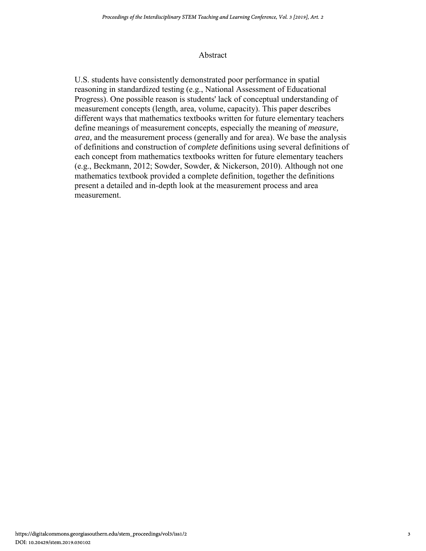#### Abstract

U.S. students have consistently demonstrated poor performance in spatial reasoning in standardized testing (e.g., National Assessment of Educational Progress). One possible reason is students' lack of conceptual understanding of measurement concepts (length, area, volume, capacity). This paper describes different ways that mathematics textbooks written for future elementary teachers define meanings of measurement concepts, especially the meaning of *measure, area,* and the measurement process (generally and for area). We base the analysis of definitions and construction of *complete* definitions using several definitions of each concept from mathematics textbooks written for future elementary teachers (e.g., Beckmann, 2012; Sowder, Sowder, & Nickerson, 2010). Although not one mathematics textbook provided a complete definition, together the definitions present a detailed and in-depth look at the measurement process and area measurement.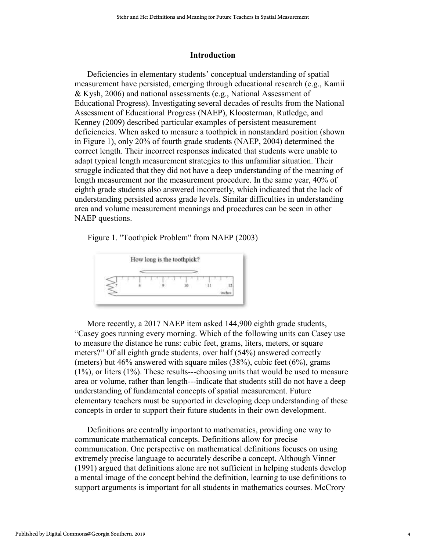#### **Introduction**

Deficiencies in elementary students' conceptual understanding of spatial measurement have persisted, emerging through educational research (e.g., Kamii & Kysh, 2006) and national assessments (e.g., National Assessment of Educational Progress). Investigating several decades of results from the National Assessment of Educational Progress (NAEP), Kloosterman, Rutledge, and Kenney (2009) described particular examples of persistent measurement deficiencies. When asked to measure a toothpick in nonstandard position (shown in Figure 1), only 20% of fourth grade students (NAEP, 2004) determined the correct length. Their incorrect responses indicated that students were unable to adapt typical length measurement strategies to this unfamiliar situation. Their struggle indicated that they did not have a deep understanding of the meaning of length measurement nor the measurement procedure. In the same year, 40% of eighth grade students also answered incorrectly, which indicated that the lack of understanding persisted across grade levels. Similar difficulties in understanding area and volume measurement meanings and procedures can be seen in other NAEP questions.

Figure 1. "Toothpick Problem" from NAEP (2003)



More recently, a 2017 NAEP item asked 144,900 eighth grade students, "Casey goes running every morning. Which of the following units can Casey use to measure the distance he runs: cubic feet, grams, liters, meters, or square meters?" Of all eighth grade students, over half (54%) answered correctly (meters) but  $46\%$  answered with square miles  $(38\%)$ , cubic feet  $(6\%)$ , grams (1%), or liters (1%). These results---choosing units that would be used to measure area or volume, rather than length---indicate that students still do not have a deep understanding of fundamental concepts of spatial measurement. Future elementary teachers must be supported in developing deep understanding of these concepts in order to support their future students in their own development.

Definitions are centrally important to mathematics, providing one way to communicate mathematical concepts. Definitions allow for precise communication. One perspective on mathematical definitions focuses on using extremely precise language to accurately describe a concept. Although Vinner (1991) argued that definitions alone are not sufficient in helping students develop a mental image of the concept behind the definition, learning to use definitions to support arguments is important for all students in mathematics courses. McCrory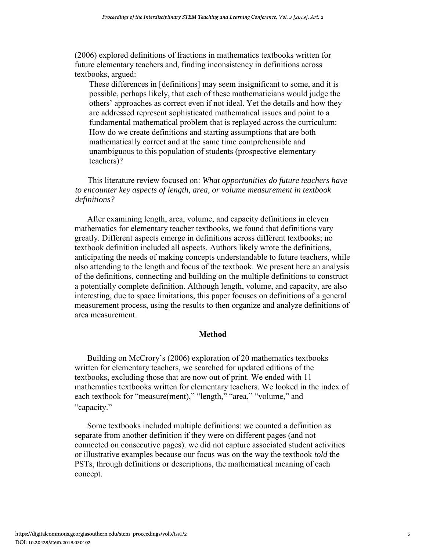(2006) explored definitions of fractions in mathematics textbooks written for future elementary teachers and, finding inconsistency in definitions across textbooks, argued:

These differences in [definitions] may seem insignificant to some, and it is possible, perhaps likely, that each of these mathematicians would judge the others' approaches as correct even if not ideal. Yet the details and how they are addressed represent sophisticated mathematical issues and point to a fundamental mathematical problem that is replayed across the curriculum: How do we create definitions and starting assumptions that are both mathematically correct and at the same time comprehensible and unambiguous to this population of students (prospective elementary teachers)?

#### This literature review focused on: *What opportunities do future teachers have to encounter key aspects of length, area, or volume measurement in textbook definitions?*

After examining length, area, volume, and capacity definitions in eleven mathematics for elementary teacher textbooks, we found that definitions vary greatly. Different aspects emerge in definitions across different textbooks; no textbook definition included all aspects. Authors likely wrote the definitions, anticipating the needs of making concepts understandable to future teachers, while also attending to the length and focus of the textbook. We present here an analysis of the definitions, connecting and building on the multiple definitions to construct a potentially complete definition. Although length, volume, and capacity, are also interesting, due to space limitations, this paper focuses on definitions of a general measurement process, using the results to then organize and analyze definitions of area measurement.

#### **Method**

Building on McCrory's (2006) exploration of 20 mathematics textbooks written for elementary teachers, we searched for updated editions of the textbooks, excluding those that are now out of print. We ended with 11 mathematics textbooks written for elementary teachers. We looked in the index of each textbook for "measure(ment)," "length," "area," "volume," and "capacity."

Some textbooks included multiple definitions: we counted a definition as separate from another definition if they were on different pages (and not connected on consecutive pages). we did not capture associated student activities or illustrative examples because our focus was on the way the textbook *told* the PSTs, through definitions or descriptions, the mathematical meaning of each concept.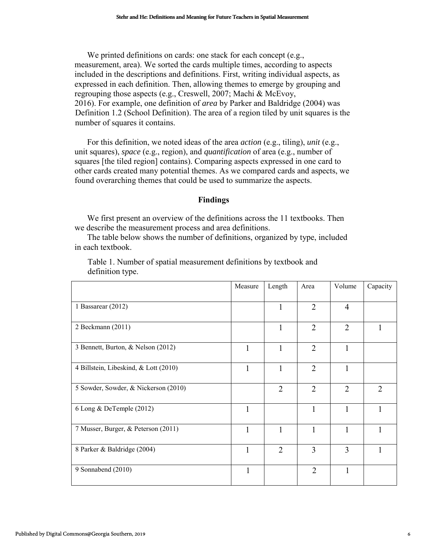#### **Findings**

| measurement, area). We sorted the cards multiple times, according to aspects<br>included in the descriptions and definitions. First, writing individual aspects, as<br>expressed in each definition. Then, allowing themes to emerge by grouping and<br>regrouping those aspects (e.g., Creswell, 2007; Machi & McEvoy,<br>2016). For example, one definition of area by Parker and Baldridge (2004) was<br>Definition 1.2 (School Definition). The area of a region tiled by unit squares is the<br>number of squares it contains. | We printed definitions on cards: one stack for each concept (e.g., |                |                |                |                |
|-------------------------------------------------------------------------------------------------------------------------------------------------------------------------------------------------------------------------------------------------------------------------------------------------------------------------------------------------------------------------------------------------------------------------------------------------------------------------------------------------------------------------------------|--------------------------------------------------------------------|----------------|----------------|----------------|----------------|
| For this definition, we noted ideas of the area <i>action</i> (e.g., tiling), <i>unit</i> (e.g.,<br>unit squares), <i>space</i> (e.g., region), and <i>quantification</i> of area (e.g., number of<br>squares [the tiled region] contains). Comparing aspects expressed in one card to<br>other cards created many potential themes. As we compared cards and aspects, we<br>found overarching themes that could be used to summarize the aspects.                                                                                  |                                                                    |                |                |                |                |
|                                                                                                                                                                                                                                                                                                                                                                                                                                                                                                                                     | <b>Findings</b>                                                    |                |                |                |                |
| We first present an overview of the definitions across the 11 textbooks. Then<br>we describe the measurement process and area definitions.<br>The table below shows the number of definitions, organized by type, included<br>in each textbook.                                                                                                                                                                                                                                                                                     |                                                                    |                |                |                |                |
| Table 1. Number of spatial measurement definitions by textbook and<br>definition type.                                                                                                                                                                                                                                                                                                                                                                                                                                              |                                                                    |                |                |                |                |
|                                                                                                                                                                                                                                                                                                                                                                                                                                                                                                                                     | Measure                                                            | Length         | Area           | Volume         | Capacity       |
| 1 Bassarear (2012)                                                                                                                                                                                                                                                                                                                                                                                                                                                                                                                  |                                                                    | 1              | $\overline{2}$ | 4              |                |
| 2 Beckmann (2011)                                                                                                                                                                                                                                                                                                                                                                                                                                                                                                                   |                                                                    | $\mathbf{1}$   | $\overline{c}$ | $\overline{2}$ | $\mathbf{1}$   |
|                                                                                                                                                                                                                                                                                                                                                                                                                                                                                                                                     |                                                                    | $\mathbf{1}$   | $\overline{2}$ | $\mathbf{1}$   |                |
| 3 Bennett, Burton, & Nelson (2012)                                                                                                                                                                                                                                                                                                                                                                                                                                                                                                  | $\mathbf{1}$                                                       |                |                |                |                |
| 4 Billstein, Libeskind, & Lott (2010)                                                                                                                                                                                                                                                                                                                                                                                                                                                                                               | $\mathbf{1}$                                                       | $\mathbf{1}$   | $\overline{2}$ | $\mathbf{1}$   |                |
| 5 Sowder, Sowder, & Nickerson (2010)                                                                                                                                                                                                                                                                                                                                                                                                                                                                                                |                                                                    | $\overline{2}$ | $\overline{2}$ | $\overline{2}$ | $\overline{2}$ |
| 6 Long & DeTemple (2012)                                                                                                                                                                                                                                                                                                                                                                                                                                                                                                            | $\mathbf{1}$                                                       |                | $\mathbf{1}$   | $\mathbf{1}$   | $\mathbf{1}$   |
| 7 Musser, Burger, & Peterson (2011)                                                                                                                                                                                                                                                                                                                                                                                                                                                                                                 | $\mathbf{1}$                                                       | $\mathbf{1}$   | 1              | $\mathbf{1}$   | $\mathbf{1}$   |
| 8 Parker & Baldridge (2004)                                                                                                                                                                                                                                                                                                                                                                                                                                                                                                         | 1                                                                  | $\overline{2}$ | 3              | $\overline{3}$ | 1              |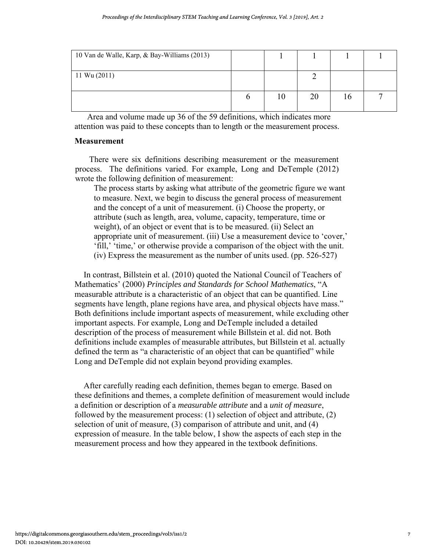| 10 Van de Walle, Karp, & Bay-Williams (2013) |    |    |          |  |
|----------------------------------------------|----|----|----------|--|
| $11 \text{ Wu} (2011)$                       |    |    |          |  |
|                                              | 10 | 20 | $\theta$ |  |

Area and volume made up 36 of the 59 definitions, which indicates more attention was paid to these concepts than to length or the measurement process.

#### **Measurement**

There were six definitions describing measurement or the measurement process. The definitions varied. For example, Long and DeTemple (2012) wrote the following definition of measurement:

The process starts by asking what attribute of the geometric figure we want to measure. Next, we begin to discuss the general process of measurement and the concept of a unit of measurement. (i) Choose the property, or attribute (such as length, area, volume, capacity, temperature, time or weight), of an object or event that is to be measured. (ii) Select an appropriate unit of measurement. (iii) Use a measurement device to 'cover,' 'fill,' 'time,' or otherwise provide a comparison of the object with the unit. (iv) Express the measurement as the number of units used. (pp. 526-527)

In contrast, Billstein et al. (2010) quoted the National Council of Teachers of Mathematics' (2000) *Principles and Standards for School Mathematics*, "A measurable attribute is a characteristic of an object that can be quantified. Line segments have length, plane regions have area, and physical objects have mass." Both definitions include important aspects of measurement, while excluding other important aspects. For example, Long and DeTemple included a detailed description of the process of measurement while Billstein et al. did not. Both definitions include examples of measurable attributes, but Billstein et al. actually defined the term as "a characteristic of an object that can be quantified" while Long and DeTemple did not explain beyond providing examples.

After carefully reading each definition, themes began to emerge. Based on these definitions and themes, a complete definition of measurement would include a definition or description of a *measurable attribute* and a *unit of measure*, followed by the measurement process: (1) selection of object and attribute, (2) selection of unit of measure, (3) comparison of attribute and unit, and (4) expression of measure. In the table below, I show the aspects of each step in the measurement process and how they appeared in the textbook definitions.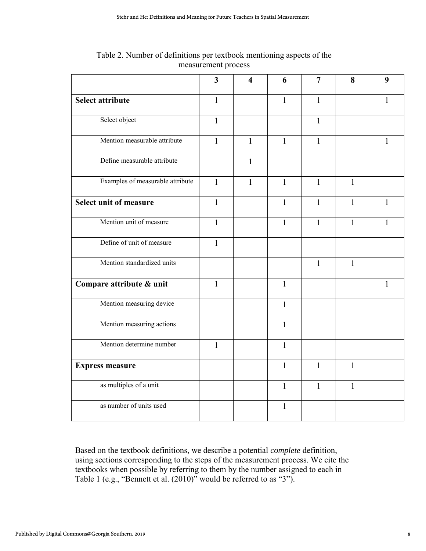|                                  | 3            | $\overline{\mathbf{4}}$ | 6            | 7            | 8            | 9            |
|----------------------------------|--------------|-------------------------|--------------|--------------|--------------|--------------|
| <b>Select attribute</b>          | $\mathbf{1}$ |                         | $\mathbf{1}$ | $\mathbf{1}$ |              | $\mathbf{1}$ |
| Select object                    | $\mathbf{1}$ |                         |              | $\mathbf{1}$ |              |              |
| Mention measurable attribute     | $\mathbf{1}$ | $\mathbf{1}$            | $\mathbf{1}$ | $\mathbf{1}$ |              | $\mathbf{1}$ |
| Define measurable attribute      |              | $\mathbf{1}$            |              |              |              |              |
| Examples of measurable attribute | $\mathbf{1}$ | $\mathbf{1}$            | $\mathbf{1}$ | $\mathbf{1}$ | $\mathbf{1}$ |              |
| Select unit of measure           | $\mathbf{1}$ |                         | $\mathbf{1}$ | $\mathbf{1}$ | $\mathbf{1}$ | $\mathbf{1}$ |
| Mention unit of measure          | $\mathbf{1}$ |                         | $\mathbf{1}$ | $\mathbf{1}$ | $\mathbf{1}$ | $\mathbf{1}$ |
| Define of unit of measure        | $\mathbf{1}$ |                         |              |              |              |              |
| Mention standardized units       |              |                         |              | $\mathbf{1}$ | $\mathbf{1}$ |              |
| Compare attribute & unit         | $\mathbf{1}$ |                         | $\mathbf{1}$ |              |              | $\mathbf{1}$ |
| Mention measuring device         |              |                         | $\mathbf{1}$ |              |              |              |
| Mention measuring actions        |              |                         | $\mathbf{1}$ |              |              |              |
| Mention determine number         | $\mathbf{1}$ |                         | $\mathbf{1}$ |              |              |              |
| <b>Express measure</b>           |              |                         | $\mathbf{1}$ | $\mathbf{1}$ | $\mathbf{1}$ |              |
| as multiples of a unit           |              |                         | $\mathbf{1}$ | $\mathbf{1}$ | $\mathbf{1}$ |              |
| as number of units used          |              |                         | $\mathbf{1}$ |              |              |              |
|                                  |              |                         |              |              |              |              |

Table 2. Number of definitions per textbook mentioning aspects of the measurement process

Based on the textbook definitions, we describe a potential *complete* definition, using sections corresponding to the steps of the measurement process. We cite the textbooks when possible by referring to them by the number assigned to each in Table 1 (e.g., "Bennett et al. (2010)" would be referred to as "3").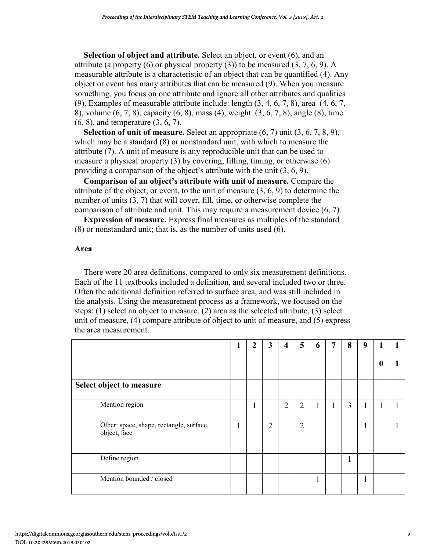**Selection of object and attribute.** Select an object, or event (6), and an attribute (a property  $(6)$  or physical property  $(3)$ ) to be measured  $(3, 7, 6, 9)$ . A measurable attribute is a characteristic of an object that can be quantified (4). Any object or event has many attributes that can be measured (9). When you measure something, you focus on one attribute and ignore all other attributes and qualities (9). Examples of measurable attribute include: length (3, 4, 6, 7, 8), area (4, 6, 7, 8), volume (6, 7, 8), capacity (6, 8), mass (4), weight (3, 6, 7, 8), angle (8), time (6, 8), and temperature (3, 6, 7).

**Selection of unit of measure.** Select an appropriate (6, 7) unit (3, 6, 7, 8, 9), which may be a standard (8) or nonstandard unit, with which to measure the attribute (7). A unit of measure is any reproducible unit that can be used to measure a physical property (3) by covering, filling, timing, or otherwise (6) providing a comparison of the object's attribute with the unit (3, 6, 9).

**Comparison of an object's attribute with unit of measure.** Compare the attribute of the object, or event, to the unit of measure (3, 6, 9) to determine the number of units  $(3, 7)$  that will cover, fill, time, or otherwise complete the comparison of attribute and unit. This may require a measurement device (6, 7).

**Expression of measure.** Express final measures as multiples of the standard (8) or nonstandard unit; that is, as the number of units used (6).

#### **Area**

There were 20 area definitions, compared to only six measurement definitions. Each of the 11 textbooks included a definition, and several included two or three. Often the additional definition referred to surface area, and was still included in the analysis. Using the measurement process as a framework, we focused on the steps: (1) select an object to measure, (2) area as the selected attribute, (3) select unit of measure, (4) compare attribute of object to unit of measure, and (5) express the area measurement.

|                                                          | 2 | 3              | 4              | 5              | 6  | 7 | 8            | 9 | 0 |  |
|----------------------------------------------------------|---|----------------|----------------|----------------|----|---|--------------|---|---|--|
| Select object to measure                                 |   |                |                |                |    |   |              |   |   |  |
| Mention region                                           | 1 |                | $\overline{2}$ | $\overline{2}$ | л. | 1 | 3            | 1 |   |  |
| Other: space, shape, rectangle, surface,<br>object, face |   | $\overline{2}$ |                | $\overline{2}$ |    |   |              | 1 |   |  |
| Define region                                            |   |                |                |                |    |   | $\mathbf{1}$ |   |   |  |
| Mention bounded / closed                                 |   |                |                |                |    |   |              |   |   |  |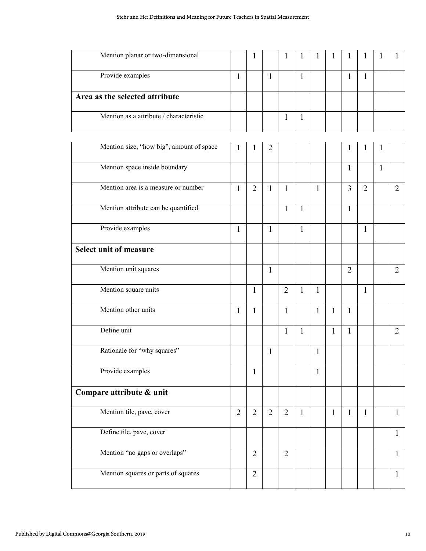| Mention planar or two-dimensional        |                | $\mathbf{1}$   |                | 1              | 1            |              | 1            | 1              | $\mathbf{I}$   |              | 1              |
|------------------------------------------|----------------|----------------|----------------|----------------|--------------|--------------|--------------|----------------|----------------|--------------|----------------|
| Provide examples                         | $\mathbf{1}$   |                | $\mathbf{1}$   |                | $\mathbf{1}$ |              |              | $\mathbf{1}$   | $\mathbf{1}$   |              |                |
| Area as the selected attribute           |                |                |                |                |              |              |              |                |                |              |                |
| Mention as a attribute / characteristic  |                |                |                | $\mathbf{1}$   | 1            |              |              |                |                |              |                |
| Mention size, "how big", amount of space | 1              | 1              | $\overline{2}$ |                |              |              |              | $\mathbf{1}$   | 1              | 1            |                |
| Mention space inside boundary            |                |                |                |                |              |              |              | $\mathbf{1}$   |                | $\mathbf{1}$ |                |
| Mention area is a measure or number      | $\mathbf{1}$   | $\overline{2}$ | $\mathbf{1}$   | $\mathbf{1}$   |              | $\mathbf{1}$ |              | 3              | $\overline{2}$ |              | $\overline{2}$ |
| Mention attribute can be quantified      |                |                |                | $\mathbf{1}$   | 1            |              |              | $\mathbf{1}$   |                |              |                |
| Provide examples                         | 1              |                | 1              |                | 1            |              |              |                | $\mathbf{1}$   |              |                |
| <b>Select unit of measure</b>            |                |                |                |                |              |              |              |                |                |              |                |
| Mention unit squares                     |                |                | $\mathbf{1}$   |                |              |              |              | $\overline{2}$ |                |              | $\overline{2}$ |
| Mention square units                     |                | $\mathbf{1}$   |                | $\overline{2}$ | $\mathbf{1}$ | $\mathbf{1}$ |              |                | $\mathbf{1}$   |              |                |
| Mention other units                      | $\mathbf{1}$   | $\mathbf{1}$   |                | $\mathbf{1}$   |              | $\mathbf{1}$ | $\mathbf{1}$ | $\mathbf{1}$   |                |              |                |
| Define unit                              |                |                |                | $\mathbf{1}$   | $\mathbf{1}$ |              | $\mathbf{1}$ | $\mathbf{1}$   |                |              | $\overline{2}$ |
| Rationale for "why squares"              |                |                | 1              |                |              | 1            |              |                |                |              |                |
| Provide examples                         |                | $\mathbf{1}$   |                |                |              | $\mathbf{1}$ |              |                |                |              |                |
| Compare attribute & unit                 |                |                |                |                |              |              |              |                |                |              |                |
| Mention tile, pave, cover                | $\overline{2}$ | $\overline{2}$ | $\overline{2}$ | $\overline{2}$ | 1            |              | $\mathbf{1}$ | $\mathbf{1}$   | $\mathbf{1}$   |              | $\mathbf{1}$   |
| Define tile, pave, cover                 |                |                |                |                |              |              |              |                |                |              | $\mathbf{1}$   |
| Mention "no gaps or overlaps"            |                | $\overline{2}$ |                | $\overline{2}$ |              |              |              |                |                |              | $\mathbf{1}$   |
| Mention squares or parts of squares      |                | $\overline{2}$ |                |                |              |              |              |                |                |              | $\mathbf{1}$   |
|                                          |                |                |                |                |              |              |              |                |                |              |                |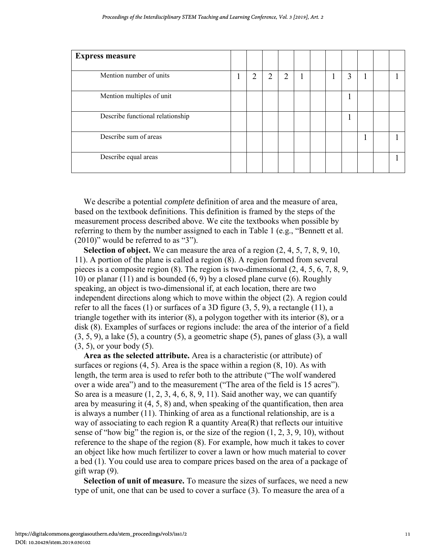| <b>Express measure</b>           |   |                |                |  |   |  |  |
|----------------------------------|---|----------------|----------------|--|---|--|--|
| Mention number of units          | ∍ | $\overline{2}$ | $\overline{2}$ |  | 3 |  |  |
| Mention multiples of unit        |   |                |                |  |   |  |  |
| Describe functional relationship |   |                |                |  | п |  |  |
| Describe sum of areas            |   |                |                |  |   |  |  |
| Describe equal areas             |   |                |                |  |   |  |  |

We describe a potential *complete* definition of area and the measure of area, based on the textbook definitions. This definition is framed by the steps of the measurement process described above. We cite the textbooks when possible by referring to them by the number assigned to each in Table 1 (e.g., "Bennett et al. (2010)" would be referred to as "3").

**Selection of object.** We can measure the area of a region (2, 4, 5, 7, 8, 9, 10, 11). A portion of the plane is called a region (8). A region formed from several pieces is a composite region (8). The region is two-dimensional (2, 4, 5, 6, 7, 8, 9, 10) or planar (11) and is bounded (6, 9) by a closed plane curve (6). Roughly speaking, an object is two-dimensional if, at each location, there are two independent directions along which to move within the object (2). A region could refer to all the faces (1) or surfaces of a 3D figure (3, 5, 9), a rectangle (11), a triangle together with its interior (8), a polygon together with its interior (8), or a disk (8). Examples of surfaces or regions include: the area of the interior of a field  $(3, 5, 9)$ , a lake  $(5)$ , a country  $(5)$ , a geometric shape  $(5)$ , panes of glass  $(3)$ , a wall (3, 5), or your body (5).

**Area as the selected attribute.** Area is a characteristic (or attribute) of surfaces or regions  $(4, 5)$ . Area is the space within a region  $(8, 10)$ . As with length, the term area is used to refer both to the attribute ("The wolf wandered over a wide area") and to the measurement ("The area of the field is 15 acres"). So area is a measure  $(1, 2, 3, 4, 6, 8, 9, 11)$ . Said another way, we can quantify area by measuring it (4, 5, 8) and, when speaking of the quantification, then area is always a number (11). Thinking of area as a functional relationship, are is a way of associating to each region  $R$  a quantity Area $(R)$  that reflects our intuitive sense of "how big" the region is, or the size of the region (1, 2, 3, 9, 10), without reference to the shape of the region (8). For example, how much it takes to cover an object like how much fertilizer to cover a lawn or how much material to cover a bed (1). You could use area to compare prices based on the area of a package of gift wrap (9).

**Selection of unit of measure.** To measure the sizes of surfaces, we need a new type of unit, one that can be used to cover a surface (3). To measure the area of a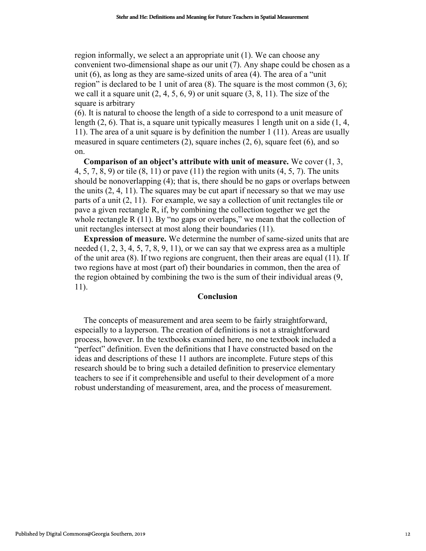region informally, we select a an appropriate unit (1). We can choose any convenient two-dimensional shape as our unit (7). Any shape could be chosen as a unit (6), as long as they are same-sized units of area (4). The area of a "unit region" is declared to be 1 unit of area  $(8)$ . The square is the most common  $(3, 6)$ ; we call it a square unit  $(2, 4, 5, 6, 9)$  or unit square  $(3, 8, 11)$ . The size of the square is arbitrary

(6). It is natural to choose the length of a side to correspond to a unit measure of length (2, 6). That is, a square unit typically measures 1 length unit on a side (1, 4, 11). The area of a unit square is by definition the number 1 (11). Areas are usually measured in square centimeters (2), square inches (2, 6), square feet (6), and so on.

**Comparison of an object's attribute with unit of measure.** We cover (1, 3, 4, 5, 7, 8, 9) or tile (8, 11) or pave (11) the region with units (4, 5, 7). The units should be nonoverlapping (4); that is, there should be no gaps or overlaps between the units (2, 4, 11). The squares may be cut apart if necessary so that we may use parts of a unit (2, 11). For example, we say a collection of unit rectangles tile or pave a given rectangle R, if, by combining the collection together we get the whole rectangle R (11). By "no gaps or overlaps," we mean that the collection of unit rectangles intersect at most along their boundaries (11).

**Expression of measure.** We determine the number of same-sized units that are needed  $(1, 2, 3, 4, 5, 7, 8, 9, 11)$ , or we can say that we express area as a multiple of the unit area (8). If two regions are congruent, then their areas are equal (11). If two regions have at most (part of) their boundaries in common, then the area of the region obtained by combining the two is the sum of their individual areas (9, 11).

#### **Conclusion**

The concepts of measurement and area seem to be fairly straightforward, especially to a layperson. The creation of definitions is not a straightforward process, however. In the textbooks examined here, no one textbook included a "perfect" definition. Even the definitions that I have constructed based on the ideas and descriptions of these 11 authors are incomplete. Future steps of this research should be to bring such a detailed definition to preservice elementary teachers to see if it comprehensible and useful to their development of a more robust understanding of measurement, area, and the process of measurement. **Solution Common Solution** Solution Solution Symphony Common Southern Common Symphony Common Southern Common Southern Common Southern Common Southern Southern Southern Southern Southern Southern Southern Southern Southern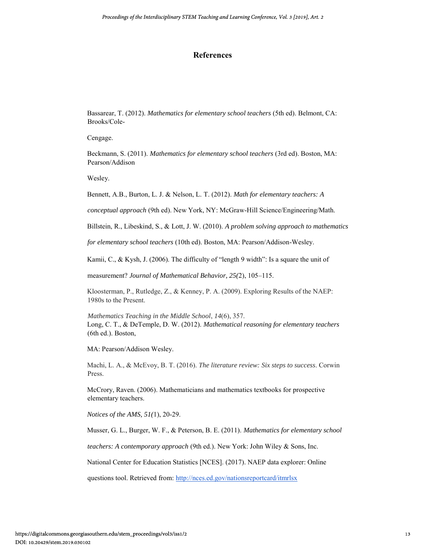#### **References**

Bassarear, T. (2012). *Mathematics for elementary school teachers* (5th ed). Belmont, CA: Brooks/Cole-

Cengage.

Beckmann, S. (2011). *Mathematics for elementary school teachers* (3rd ed). Boston, MA: Pearson/Addison

Wesley.

Bennett, A.B., Burton, L. J. & Nelson, L. T. (2012). *Math for elementary teachers: A* 

*conceptual approach* (9th ed). New York, NY: McGraw-Hill Science/Engineering/Math.

Billstein, R., Libeskind, S., & Lott, J. W. (2010). *A problem solving approach to mathematics* 

*for elementary school teachers* (10th ed). Boston, MA: Pearson/Addison-Wesley.

Kamii, C., & Kysh, J. (2006). The difficulty of "length 9 width": Is a square the unit of

measurement? *Journal of Mathematical Behavior, 25(*2), 105–115.

Kloosterman, P., Rutledge, Z., & Kenney, P. A. (2009). Exploring Results of the NAEP: 1980s to the Present.

*Mathematics Teaching in the Middle School*, *14*(6), 357. Long, C. T., & DeTemple, D. W. (2012). *Mathematical reasoning for elementary teachers*  (6th ed.). Boston,

MA: Pearson/Addison Wesley.

Machi, L. A., & McEvoy, B. T. (2016). *The literature review: Six steps to success*. Corwin Press.

McCrory, Raven. (2006). Mathematicians and mathematics textbooks for prospective elementary teachers.

*Notices of the AMS, 51(*1), 20-29.

Musser, G. L., Burger, W. F., & Peterson, B. E. (2011). *Mathematics for elementary school* 

*teachers: A contemporary approach* (9th ed.). New York: John Wiley & Sons, Inc.

National Center for Education Statistics [NCES]. (2017). NAEP data explorer: Online

questions tool. Retrieved from[: http://nces.ed.gov/nationsreportcard/itmrlsx](http://nces.ed.gov/nationsreportcard/itmrlsx)